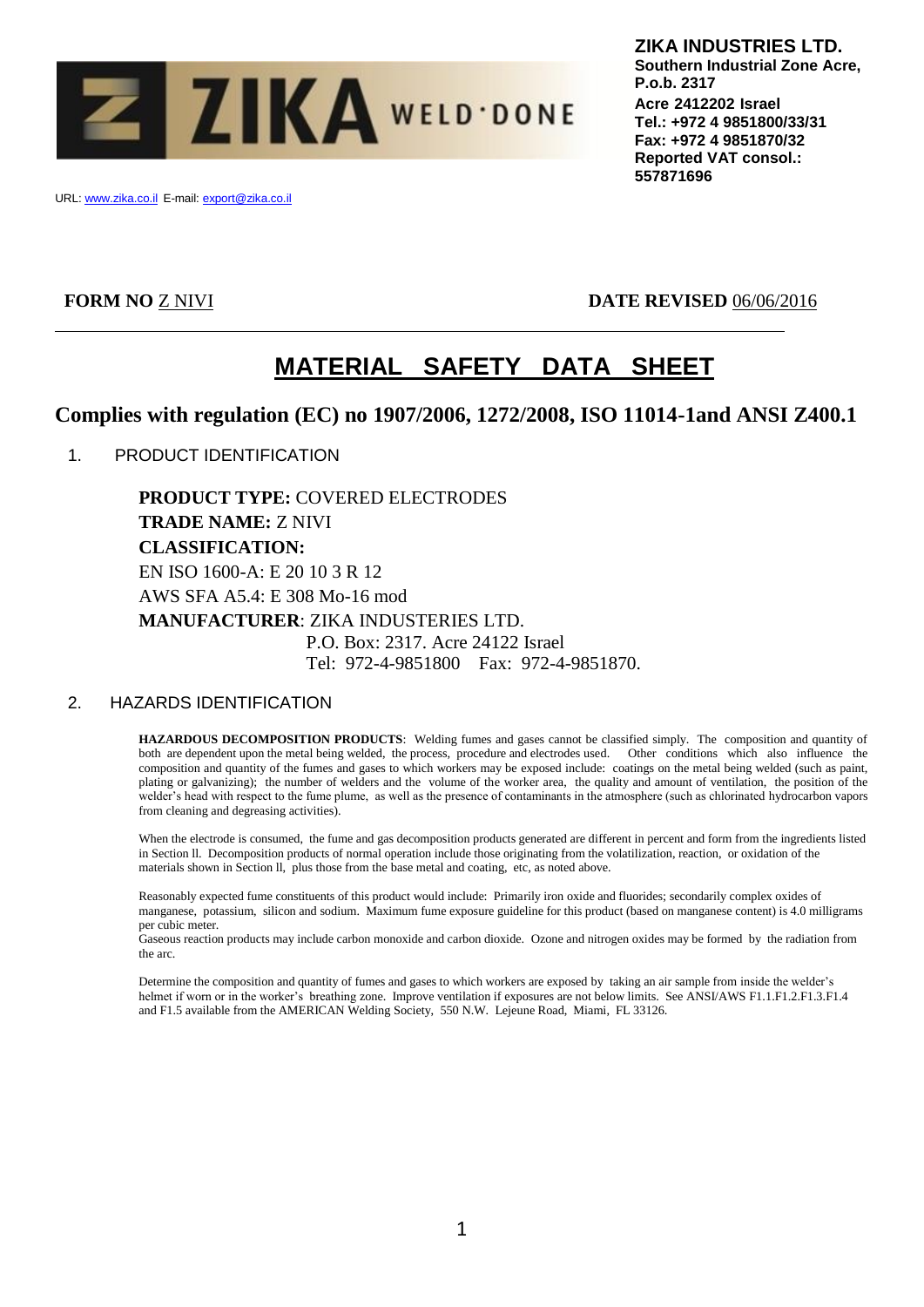

URL: www.zika.co.il E-mail: export@zika.co.il

**FORM NO** Z NIVI **DATE REVISED** 06/06/2016

# **MATERIAL SAFETY DATA SHEET**

# **Complies with regulation (EC) no 1907/2006, 1272/2008, ISO 11014-1and ANSI Z400.1**

1. PRODUCT IDENTIFICATION

**PRODUCT TYPE:** COVERED ELECTRODES **TRADE NAME:** Z NIVI **CLASSIFICATION:** EN ISO 1600-A: E 20 10 3 R 12 AWS SFA A5.4: E 308 Mo-16 mod **MANUFACTURER**: ZIKA INDUSTERIES LTD. P.O. Box: 2317. Acre 24122 Israel Tel: 972-4-9851800 Fax: 972-4-9851870.

# 2. HAZARDS IDENTIFICATION

**HAZARDOUS DECOMPOSITION PRODUCTS**: Welding fumes and gases cannot be classified simply. The composition and quantity of both are dependent upon the metal being welded, the process, procedure and electrodes used. Other conditions which also influence the composition and quantity of the fumes and gases to which workers may be exposed include: coatings on the metal being welded (such as paint, plating or galvanizing); the number of welders and the volume of the worker area, the quality and amount of ventilation, the position of the welder's head with respect to the fume plume, as well as the presence of contaminants in the atmosphere (such as chlorinated hydrocarbon vapors from cleaning and degreasing activities).

When the electrode is consumed, the fume and gas decomposition products generated are different in percent and form from the ingredients listed in Section ll. Decomposition products of normal operation include those originating from the volatilization, reaction, or oxidation of the materials shown in Section ll, plus those from the base metal and coating, etc, as noted above.

Reasonably expected fume constituents of this product would include: Primarily iron oxide and fluorides; secondarily complex oxides of manganese, potassium, silicon and sodium. Maximum fume exposure guideline for this product (based on manganese content) is 4.0 milligrams per cubic meter.

Gaseous reaction products may include carbon monoxide and carbon dioxide. Ozone and nitrogen oxides may be formed by the radiation from the arc.

Determine the composition and quantity of fumes and gases to which workers are exposed by taking an air sample from inside the welder's helmet if worn or in the worker's breathing zone. Improve ventilation if exposures are not below limits. See ANSI/AWS F1.1.F1.2.F1.3.F1.4 and F1.5 available from the AMERICAN Welding Society, 550 N.W. Lejeune Road, Miami, FL 33126.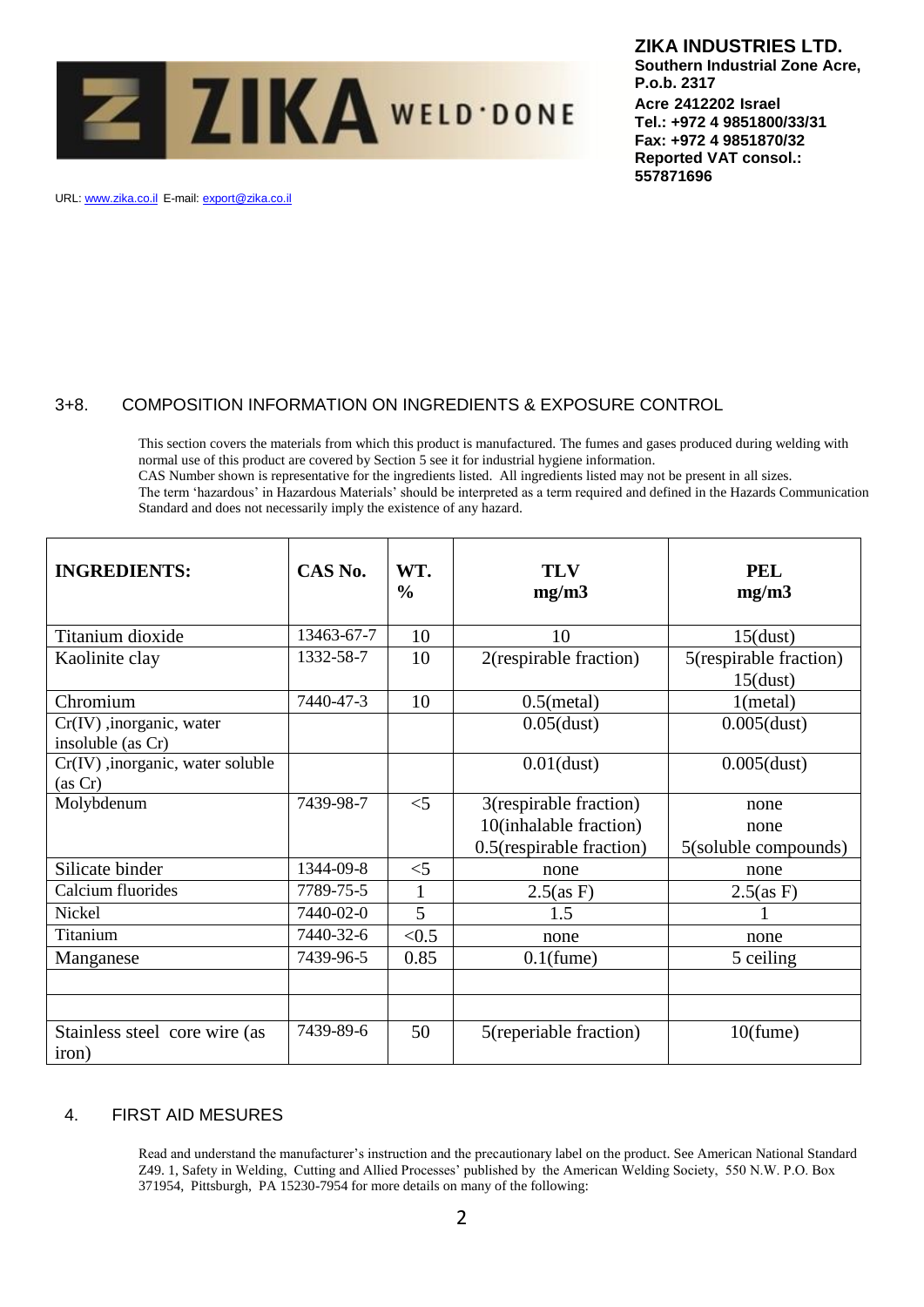

# **ZIKA INDUSTRIES LTD.**

**Southern Industrial Zone Acre, P.o.b. 2317 Acre 2412202 Israel Tel.: +972 4 9851800/33/31 Fax: +972 4 9851870/32 Reported VAT consol.: 557871696**

URL: www.zika.co.il E-mail: export@zika.co.il

# 3+8. COMPOSITION INFORMATION ON INGREDIENTS & EXPOSURE CONTROL

This section covers the materials from which this product is manufactured. The fumes and gases produced during welding with normal use of this product are covered by Section 5 see it for industrial hygiene information. CAS Number shown is representative for the ingredients listed. All ingredients listed may not be present in all sizes. The term 'hazardous' in Hazardous Materials' should be interpreted as a term required and defined in the Hazards Communication Standard and does not necessarily imply the existence of any hazard.

| <b>INGREDIENTS:</b>                              | CAS No.    | WT.<br>$\frac{0}{0}$ | <b>TLV</b><br>mg/m3                                                          | <b>PEL</b><br>mg/m3                   |
|--------------------------------------------------|------------|----------------------|------------------------------------------------------------------------------|---------------------------------------|
| Titanium dioxide                                 | 13463-67-7 | 10                   | 10                                                                           | $15$ (dust)                           |
| Kaolinite clay                                   | 1332-58-7  | 10                   | 2(respirable fraction)                                                       | 5(respirable fraction)<br>$15$ (dust) |
| Chromium                                         | 7440-47-3  | 10                   | $0.5$ (metal)                                                                | 1(metal)                              |
| $Cr(IV)$ , inorganic, water<br>insoluble (as Cr) |            |                      | $0.05$ (dust)                                                                | $0.005$ (dust)                        |
| $Cr(IV)$ , inorganic, water soluble<br>(as Cr)   |            |                      | $0.01$ (dust)                                                                | $0.005$ (dust)                        |
| Molybdenum                                       | 7439-98-7  | $<$ 5                | 3(respirable fraction)<br>10(inhalable fraction)<br>0.5(respirable fraction) | none<br>none<br>5(soluble compounds)  |
| Silicate binder                                  | 1344-09-8  | $<$ 5                | none                                                                         | none                                  |
| Calcium fluorides                                | 7789-75-5  | $\mathbf{1}$         | $2.5$ (as F)                                                                 | $2.5$ (as F)                          |
| <b>Nickel</b>                                    | 7440-02-0  | 5                    | 1.5                                                                          |                                       |
| Titanium                                         | 7440-32-6  | < 0.5                | none                                                                         | none                                  |
| Manganese                                        | 7439-96-5  | 0.85                 | $0.1$ (fume)                                                                 | 5 ceiling                             |
|                                                  |            |                      |                                                                              |                                       |
| Stainless steel core wire (as<br>iron)           | 7439-89-6  | 50                   | 5(reperiable fraction)                                                       | $10$ (fume)                           |

# 4. FIRST AID MESURES

Read and understand the manufacturer's instruction and the precautionary label on the product. See American National Standard Z49. 1, Safety in Welding, Cutting and Allied Processes' published by the American Welding Society, 550 N.W. P.O. Box 371954, Pittsburgh, PA 15230-7954 for more details on many of the following: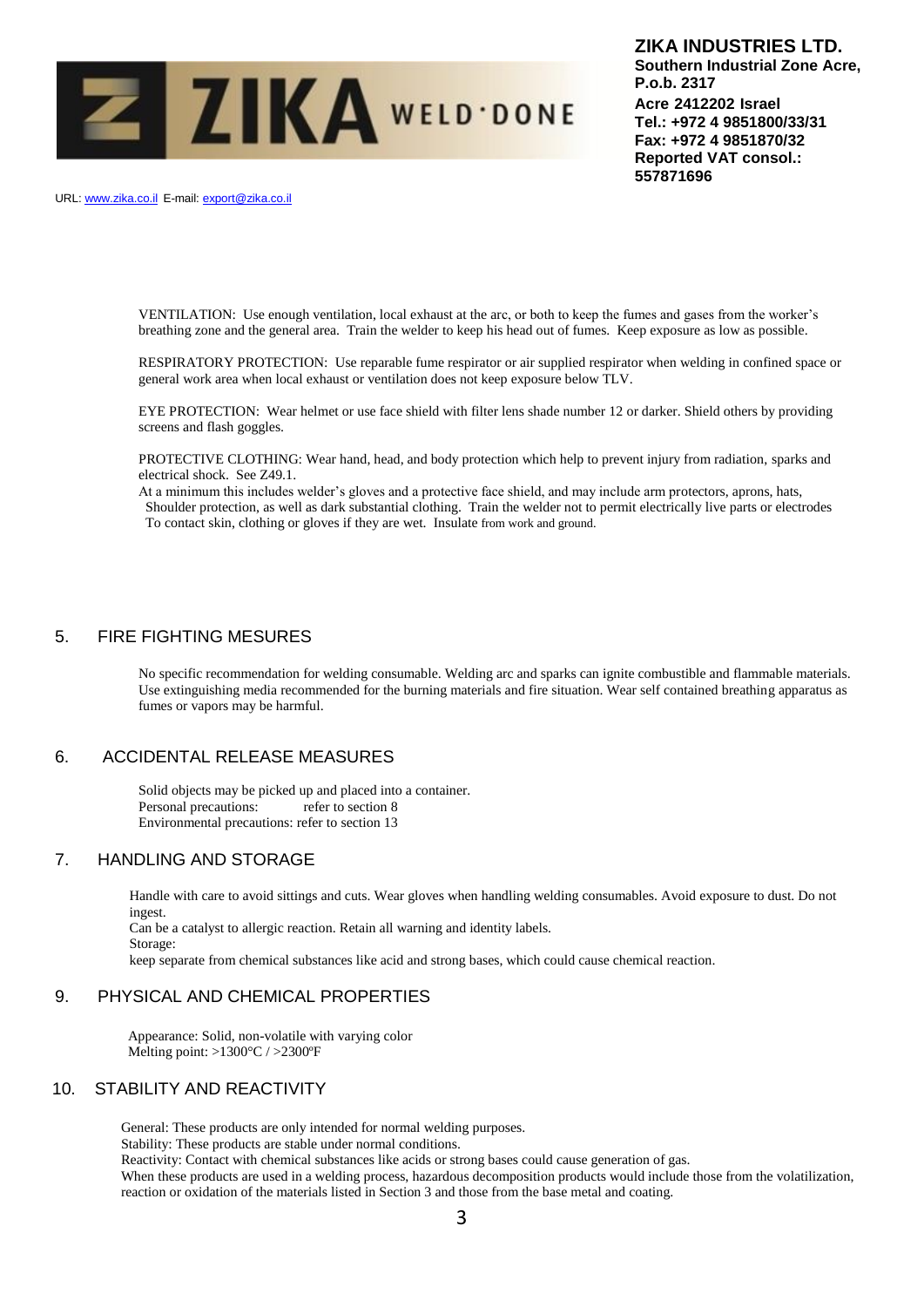

URL: www.zika.co.il E-mail: export@zika.co.il

VENTILATION: Use enough ventilation, local exhaust at the arc, or both to keep the fumes and gases from the worker's breathing zone and the general area. Train the welder to keep his head out of fumes. Keep exposure as low as possible.

RESPIRATORY PROTECTION: Use reparable fume respirator or air supplied respirator when welding in confined space or general work area when local exhaust or ventilation does not keep exposure below TLV.

EYE PROTECTION: Wear helmet or use face shield with filter lens shade number 12 or darker. Shield others by providing screens and flash goggles.

PROTECTIVE CLOTHING: Wear hand, head, and body protection which help to prevent injury from radiation, sparks and electrical shock. See Z49.1.

At a minimum this includes welder's gloves and a protective face shield, and may include arm protectors, aprons, hats, Shoulder protection, as well as dark substantial clothing. Train the welder not to permit electrically live parts or electrodes To contact skin, clothing or gloves if they are wet. Insulate from work and ground.

### 5. FIRE FIGHTING MESURES

No specific recommendation for welding consumable. Welding arc and sparks can ignite combustible and flammable materials. Use extinguishing media recommended for the burning materials and fire situation. Wear self contained breathing apparatus as fumes or vapors may be harmful.

# 6. ACCIDENTAL RELEASE MEASURES

Solid objects may be picked up and placed into a container. Personal precautions: refer to section 8 Environmental precautions: refer to section 13

#### 7. HANDLING AND STORAGE

Storage:

Handle with care to avoid sittings and cuts. Wear gloves when handling welding consumables. Avoid exposure to dust. Do not ingest.

Can be a catalyst to allergic reaction. Retain all warning and identity labels.

keep separate from chemical substances like acid and strong bases, which could cause chemical reaction.

#### 9. PHYSICAL AND CHEMICAL PROPERTIES

 Appearance: Solid, non-volatile with varying color Melting point: >1300°C / >2300ºF

#### 10. STABILITY AND REACTIVITY

General: These products are only intended for normal welding purposes.

Stability: These products are stable under normal conditions.

Reactivity: Contact with chemical substances like acids or strong bases could cause generation of gas.

When these products are used in a welding process, hazardous decomposition products would include those from the volatilization, reaction or oxidation of the materials listed in Section 3 and those from the base metal and coating.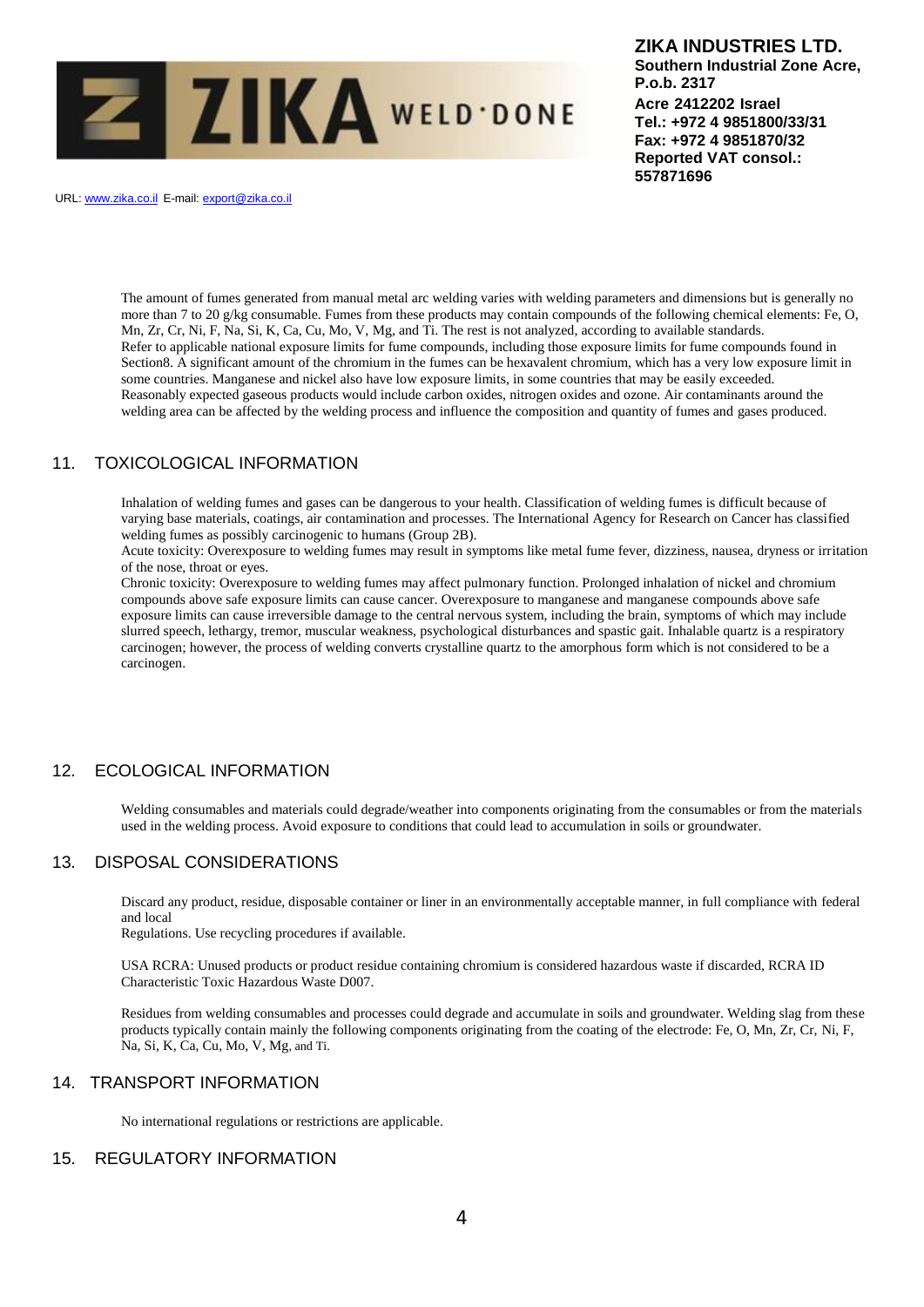

URL: www.zika.co.il E-mail: export@zika.co.il

The amount of fumes generated from manual metal arc welding varies with welding parameters and dimensions but is generally no more than 7 to 20 g/kg consumable. Fumes from these products may contain compounds of the following chemical elements: Fe, O, Mn, Zr, Cr, Ni, F, Na, Si, K, Ca, Cu, Mo, V, Mg, and Ti. The rest is not analyzed, according to available standards. Refer to applicable national exposure limits for fume compounds, including those exposure limits for fume compounds found in Section8. A significant amount of the chromium in the fumes can be hexavalent chromium, which has a very low exposure limit in some countries. Manganese and nickel also have low exposure limits, in some countries that may be easily exceeded. Reasonably expected gaseous products would include carbon oxides, nitrogen oxides and ozone. Air contaminants around the welding area can be affected by the welding process and influence the composition and quantity of fumes and gases produced.

# 11. TOXICOLOGICAL INFORMATION

Inhalation of welding fumes and gases can be dangerous to your health. Classification of welding fumes is difficult because of varying base materials, coatings, air contamination and processes. The International Agency for Research on Cancer has classified welding fumes as possibly carcinogenic to humans (Group 2B).

Acute toxicity: Overexposure to welding fumes may result in symptoms like metal fume fever, dizziness, nausea, dryness or irritation of the nose, throat or eyes.

Chronic toxicity: Overexposure to welding fumes may affect pulmonary function. Prolonged inhalation of nickel and chromium compounds above safe exposure limits can cause cancer. Overexposure to manganese and manganese compounds above safe exposure limits can cause irreversible damage to the central nervous system, including the brain, symptoms of which may include slurred speech, lethargy, tremor, muscular weakness, psychological disturbances and spastic gait. Inhalable quartz is a respiratory carcinogen; however, the process of welding converts crystalline quartz to the amorphous form which is not considered to be a carcinogen.

# 12. ECOLOGICAL INFORMATION

Welding consumables and materials could degrade/weather into components originating from the consumables or from the materials used in the welding process. Avoid exposure to conditions that could lead to accumulation in soils or groundwater.

# 13. DISPOSAL CONSIDERATIONS

Discard any product, residue, disposable container or liner in an environmentally acceptable manner, in full compliance with federal and local

Regulations. Use recycling procedures if available.

USA RCRA: Unused products or product residue containing chromium is considered hazardous waste if discarded, RCRA ID Characteristic Toxic Hazardous Waste D007.

Residues from welding consumables and processes could degrade and accumulate in soils and groundwater. Welding slag from these products typically contain mainly the following components originating from the coating of the electrode: Fe, O, Mn, Zr, Cr, Ni, F, Na, Si, K, Ca, Cu, Mo, V, Mg, and Ti.

#### 14. TRANSPORT INFORMATION

No international regulations or restrictions are applicable.

#### 15. REGULATORY INFORMATION